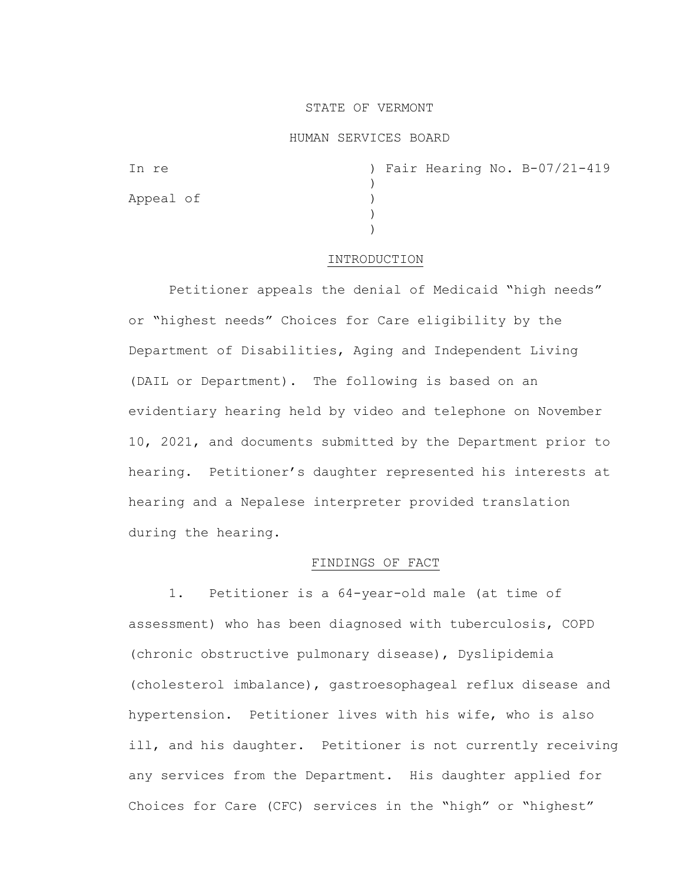## STATE OF VERMONT

### HUMAN SERVICES BOARD

| In re     |  |  | ) Fair Hearing No. B-07/21-419 |
|-----------|--|--|--------------------------------|
| Appeal of |  |  |                                |
|           |  |  |                                |
|           |  |  |                                |

#### INTRODUCTION

Petitioner appeals the denial of Medicaid "high needs" or "highest needs" Choices for Care eligibility by the Department of Disabilities, Aging and Independent Living (DAIL or Department). The following is based on an evidentiary hearing held by video and telephone on November 10, 2021, and documents submitted by the Department prior to hearing. Petitioner's daughter represented his interests at hearing and a Nepalese interpreter provided translation during the hearing.

## FINDINGS OF FACT

1. Petitioner is a 64-year-old male (at time of assessment) who has been diagnosed with tuberculosis, COPD (chronic obstructive pulmonary disease), Dyslipidemia (cholesterol imbalance), gastroesophageal reflux disease and hypertension. Petitioner lives with his wife, who is also ill, and his daughter. Petitioner is not currently receiving any services from the Department. His daughter applied for Choices for Care (CFC) services in the "high" or "highest"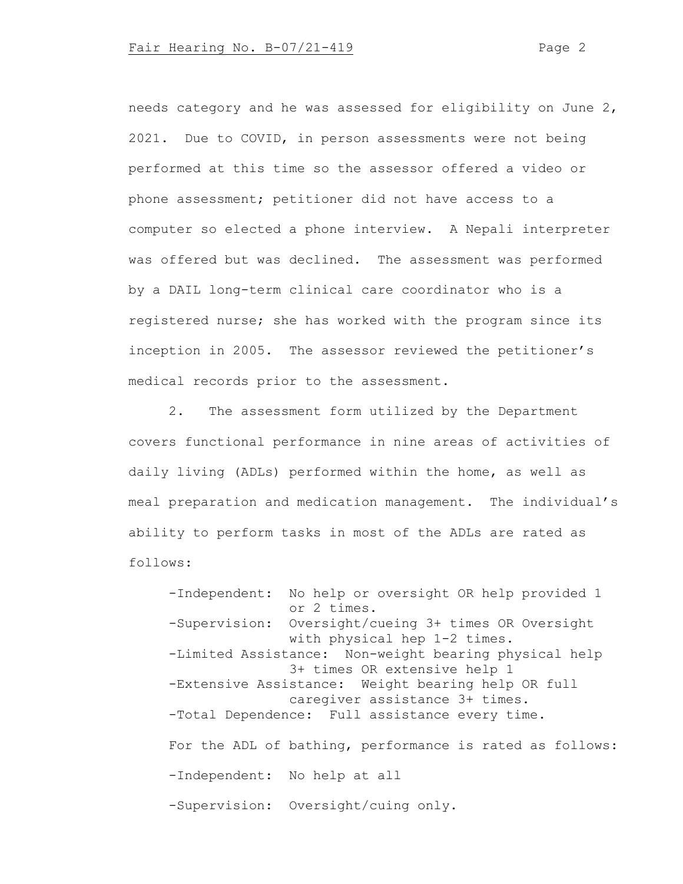needs category and he was assessed for eligibility on June 2, 2021. Due to COVID, in person assessments were not being performed at this time so the assessor offered a video or phone assessment; petitioner did not have access to a computer so elected a phone interview. A Nepali interpreter was offered but was declined. The assessment was performed by a DAIL long-term clinical care coordinator who is a registered nurse; she has worked with the program since its inception in 2005. The assessor reviewed the petitioner's medical records prior to the assessment.

2. The assessment form utilized by the Department covers functional performance in nine areas of activities of daily living (ADLs) performed within the home, as well as meal preparation and medication management. The individual's ability to perform tasks in most of the ADLs are rated as follows:

-Independent: No help or oversight OR help provided 1 or 2 times. -Supervision: Oversight/cueing 3+ times OR Oversight with physical hep 1-2 times. -Limited Assistance: Non-weight bearing physical help 3+ times OR extensive help 1 -Extensive Assistance: Weight bearing help OR full caregiver assistance 3+ times. -Total Dependence: Full assistance every time. For the ADL of bathing, performance is rated as follows: -Independent: No help at all -Supervision: Oversight/cuing only.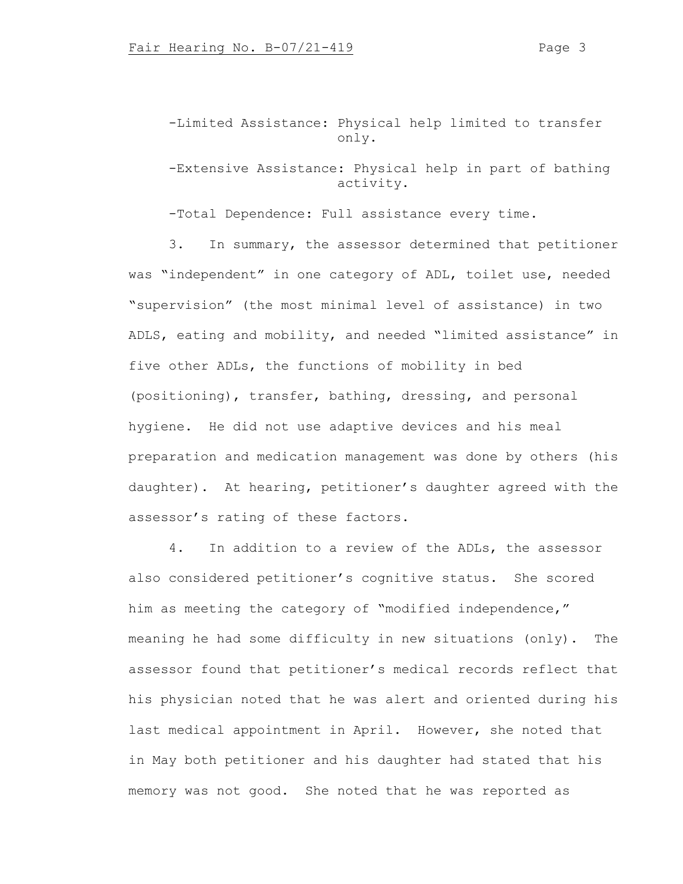-Limited Assistance: Physical help limited to transfer only.

# -Extensive Assistance: Physical help in part of bathing activity.

-Total Dependence: Full assistance every time.

3. In summary, the assessor determined that petitioner was "independent" in one category of ADL, toilet use, needed "supervision" (the most minimal level of assistance) in two ADLS, eating and mobility, and needed "limited assistance" in five other ADLs, the functions of mobility in bed (positioning), transfer, bathing, dressing, and personal hygiene. He did not use adaptive devices and his meal preparation and medication management was done by others (his daughter). At hearing, petitioner's daughter agreed with the assessor's rating of these factors.

4. In addition to a review of the ADLs, the assessor also considered petitioner's cognitive status. She scored him as meeting the category of "modified independence," meaning he had some difficulty in new situations (only). The assessor found that petitioner's medical records reflect that his physician noted that he was alert and oriented during his last medical appointment in April. However, she noted that in May both petitioner and his daughter had stated that his memory was not good. She noted that he was reported as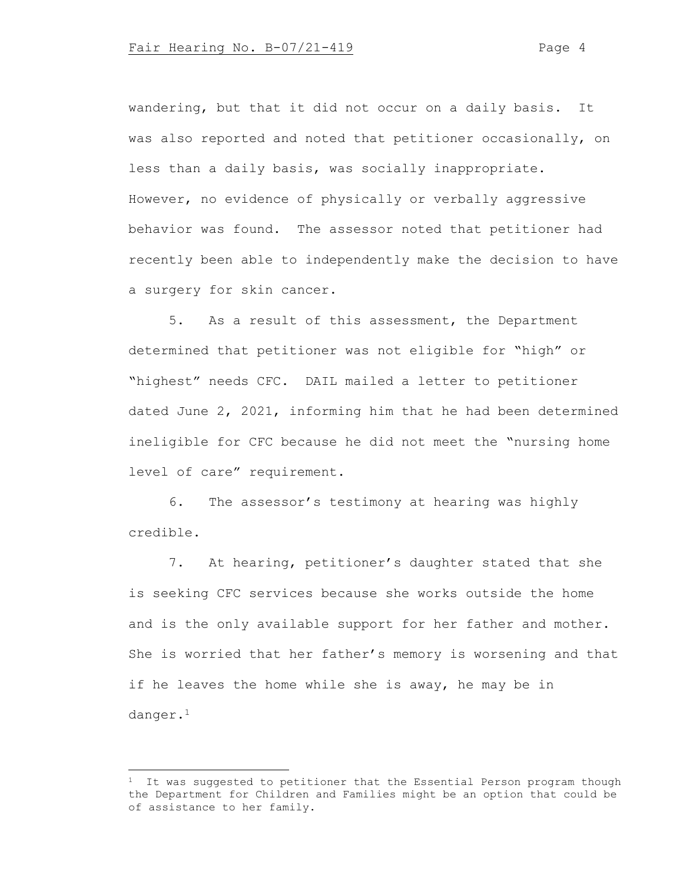wandering, but that it did not occur on a daily basis. It was also reported and noted that petitioner occasionally, on less than a daily basis, was socially inappropriate. However, no evidence of physically or verbally aggressive behavior was found. The assessor noted that petitioner had recently been able to independently make the decision to have a surgery for skin cancer.

5. As a result of this assessment, the Department determined that petitioner was not eligible for "high" or "highest" needs CFC. DAIL mailed a letter to petitioner dated June 2, 2021, informing him that he had been determined ineligible for CFC because he did not meet the "nursing home level of care" requirement.

6. The assessor's testimony at hearing was highly credible.

7. At hearing, petitioner's daughter stated that she is seeking CFC services because she works outside the home and is the only available support for her father and mother. She is worried that her father's memory is worsening and that if he leaves the home while she is away, he may be in danger.<sup>1</sup>

 $1$  It was suggested to petitioner that the Essential Person program though the Department for Children and Families might be an option that could be of assistance to her family.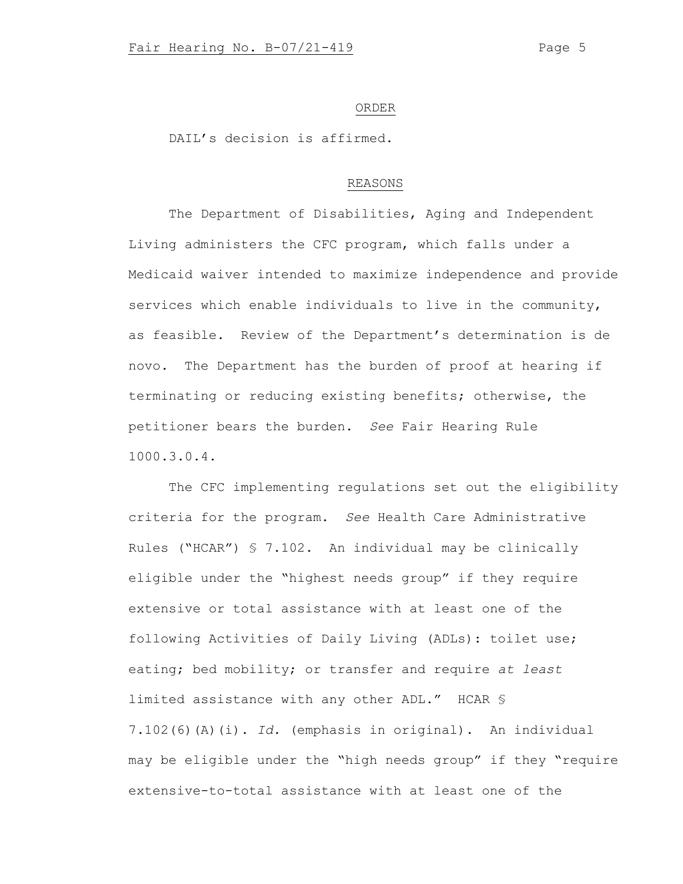#### ORDER

DAIL's decision is affirmed.

## REASONS

The Department of Disabilities, Aging and Independent Living administers the CFC program, which falls under a Medicaid waiver intended to maximize independence and provide services which enable individuals to live in the community, as feasible. Review of the Department's determination is de novo. The Department has the burden of proof at hearing if terminating or reducing existing benefits; otherwise, the petitioner bears the burden. *See* Fair Hearing Rule 1000.3.0.4.

The CFC implementing regulations set out the eligibility criteria for the program. *See* Health Care Administrative Rules ("HCAR") § 7.102. An individual may be clinically eligible under the "highest needs group" if they require extensive or total assistance with at least one of the following Activities of Daily Living (ADLs): toilet use; eating; bed mobility; or transfer and require *at least* limited assistance with any other ADL." HCAR § 7.102(6)(A)(i). *Id.* (emphasis in original). An individual may be eligible under the "high needs group" if they "require extensive-to-total assistance with at least one of the